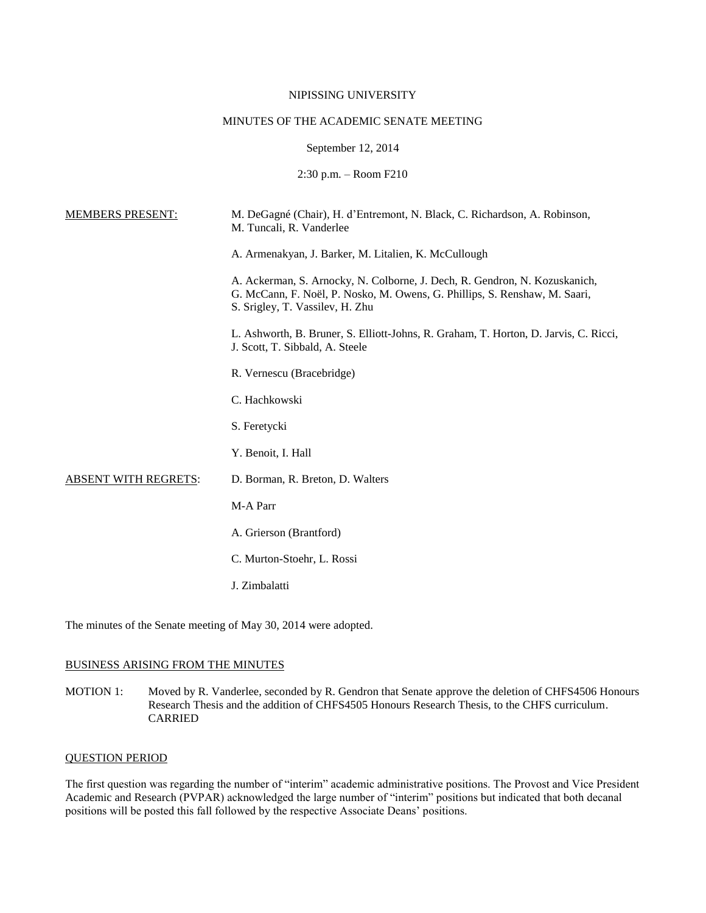## NIPISSING UNIVERSITY

## MINUTES OF THE ACADEMIC SENATE MEETING

September 12, 2014

2:30 p.m. – Room F210

| <b>MEMBERS PRESENT:</b>     | M. DeGagné (Chair), H. d'Entremont, N. Black, C. Richardson, A. Robinson,<br>M. Tuncali, R. Vanderlee                                                                                       |
|-----------------------------|---------------------------------------------------------------------------------------------------------------------------------------------------------------------------------------------|
|                             | A. Armenakyan, J. Barker, M. Litalien, K. McCullough                                                                                                                                        |
|                             | A. Ackerman, S. Arnocky, N. Colborne, J. Dech, R. Gendron, N. Kozuskanich,<br>G. McCann, F. Noël, P. Nosko, M. Owens, G. Phillips, S. Renshaw, M. Saari,<br>S. Srigley, T. Vassilev, H. Zhu |
|                             | L. Ashworth, B. Bruner, S. Elliott-Johns, R. Graham, T. Horton, D. Jarvis, C. Ricci,<br>J. Scott, T. Sibbald, A. Steele                                                                     |
|                             | R. Vernescu (Bracebridge)                                                                                                                                                                   |
|                             | C. Hachkowski                                                                                                                                                                               |
|                             | S. Feretycki                                                                                                                                                                                |
|                             | Y. Benoit, I. Hall                                                                                                                                                                          |
| <b>ABSENT WITH REGRETS:</b> | D. Borman, R. Breton, D. Walters                                                                                                                                                            |
|                             | M-A Parr                                                                                                                                                                                    |
|                             | A. Grierson (Brantford)                                                                                                                                                                     |
|                             | C. Murton-Stoehr, L. Rossi                                                                                                                                                                  |
|                             | J. Zimbalatti                                                                                                                                                                               |
|                             |                                                                                                                                                                                             |

The minutes of the Senate meeting of May 30, 2014 were adopted.

# BUSINESS ARISING FROM THE MINUTES

MOTION 1: Moved by R. Vanderlee, seconded by R. Gendron that Senate approve the deletion of CHFS4506 Honours Research Thesis and the addition of CHFS4505 Honours Research Thesis, to the CHFS curriculum. CARRIED

## QUESTION PERIOD

The first question was regarding the number of "interim" academic administrative positions. The Provost and Vice President Academic and Research (PVPAR) acknowledged the large number of "interim" positions but indicated that both decanal positions will be posted this fall followed by the respective Associate Deans' positions.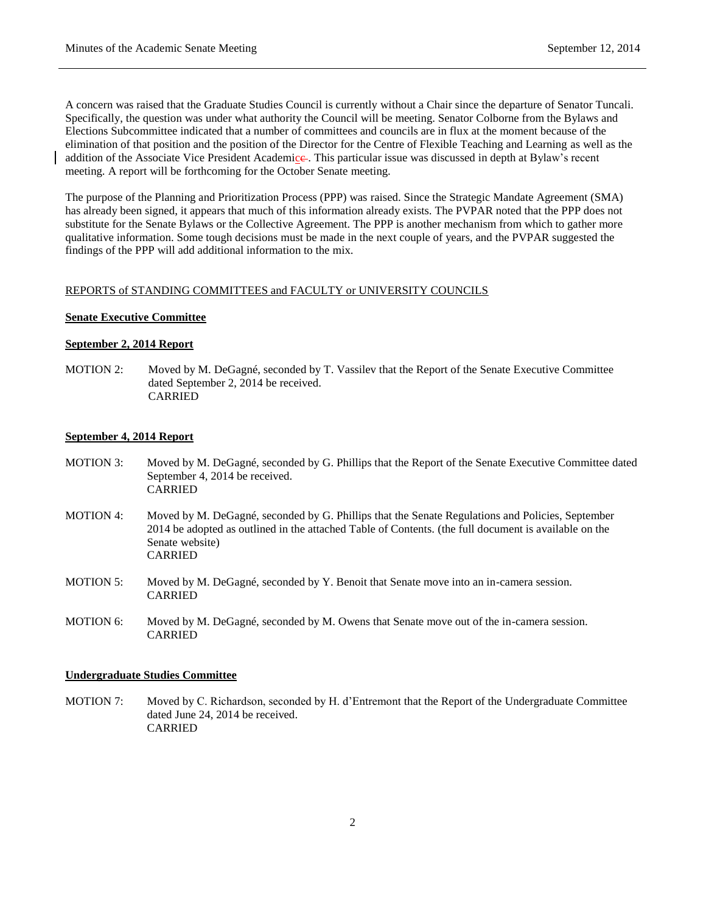A concern was raised that the Graduate Studies Council is currently without a Chair since the departure of Senator Tuncali. Specifically, the question was under what authority the Council will be meeting. Senator Colborne from the Bylaws and Elections Subcommittee indicated that a number of committees and councils are in flux at the moment because of the elimination of that position and the position of the Director for the Centre of Flexible Teaching and Learning as well as the addition of the Associate Vice President Academice. This particular issue was discussed in depth at Bylaw's recent meeting. A report will be forthcoming for the October Senate meeting.

The purpose of the Planning and Prioritization Process (PPP) was raised. Since the Strategic Mandate Agreement (SMA) has already been signed, it appears that much of this information already exists. The PVPAR noted that the PPP does not substitute for the Senate Bylaws or the Collective Agreement. The PPP is another mechanism from which to gather more qualitative information. Some tough decisions must be made in the next couple of years, and the PVPAR suggested the findings of the PPP will add additional information to the mix.

#### REPORTS of STANDING COMMITTEES and FACULTY or UNIVERSITY COUNCILS

### **Senate Executive Committee**

### **September 2, 2014 Report**

MOTION 2: Moved by M. DeGagné, seconded by T. Vassilev that the Report of the Senate Executive Committee dated September 2, 2014 be received. CARRIED

## **September 4, 2014 Report**

- MOTION 3: Moved by M. DeGagné, seconded by G. Phillips that the Report of the Senate Executive Committee dated September 4, 2014 be received. CARRIED
- MOTION 4: Moved by M. DeGagné, seconded by G. Phillips that the Senate Regulations and Policies, September 2014 be adopted as outlined in the attached Table of Contents. (the full document is available on the Senate website) CARRIED
- MOTION 5: Moved by M. DeGagné, seconded by Y. Benoit that Senate move into an in-camera session. CARRIED
- MOTION 6: Moved by M. DeGagné, seconded by M. Owens that Senate move out of the in-camera session. CARRIED

### **Undergraduate Studies Committee**

MOTION 7: Moved by C. Richardson, seconded by H. d'Entremont that the Report of the Undergraduate Committee dated June 24, 2014 be received. CARRIED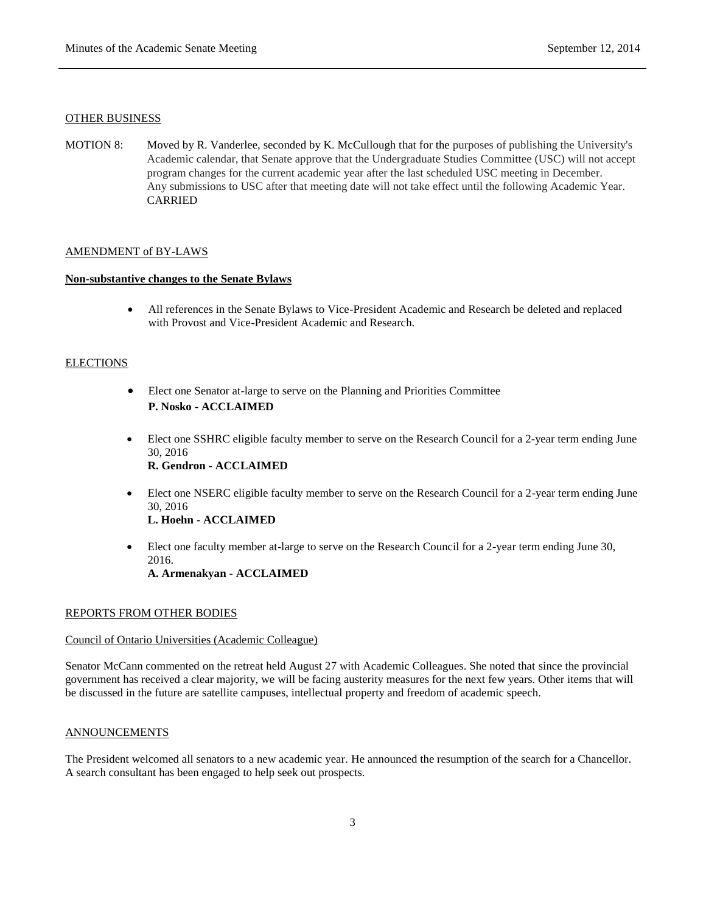#### OTHER BUSINESS

MOTION 8: Moved by R. Vanderlee, seconded by K. McCullough that for the purposes of publishing the University's Academic calendar, that Senate approve that the Undergraduate Studies Committee (USC) will not accept program changes for the current academic year after the last scheduled USC meeting in December. Any submissions to USC after that meeting date will not take effect until the following Academic Year. CARRIED

### AMENDMENT of BY-LAWS

## **Non-substantive changes to the Senate Bylaws**

 All references in the Senate Bylaws to Vice-President Academic and Research be deleted and replaced with Provost and Vice-President Academic and Research.

## **ELECTIONS**

- Elect one Senator at-large to serve on the Planning and Priorities Committee **P. Nosko - ACCLAIMED**
- Elect one SSHRC eligible faculty member to serve on the Research Council for a 2-year term ending June 30, 2016 **R. Gendron - ACCLAIMED**
- Elect one NSERC eligible faculty member to serve on the Research Council for a 2-year term ending June 30, 2016 **L. Hoehn - ACCLAIMED**
- Elect one faculty member at-large to serve on the Research Council for a 2-year term ending June 30, 2016.

**A. Armenakyan - ACCLAIMED**

#### REPORTS FROM OTHER BODIES

### Council of Ontario Universities (Academic Colleague)

Senator McCann commented on the retreat held August 27 with Academic Colleagues. She noted that since the provincial government has received a clear majority, we will be facing austerity measures for the next few years. Other items that will be discussed in the future are satellite campuses, intellectual property and freedom of academic speech.

### ANNOUNCEMENTS

The President welcomed all senators to a new academic year. He announced the resumption of the search for a Chancellor. A search consultant has been engaged to help seek out prospects.